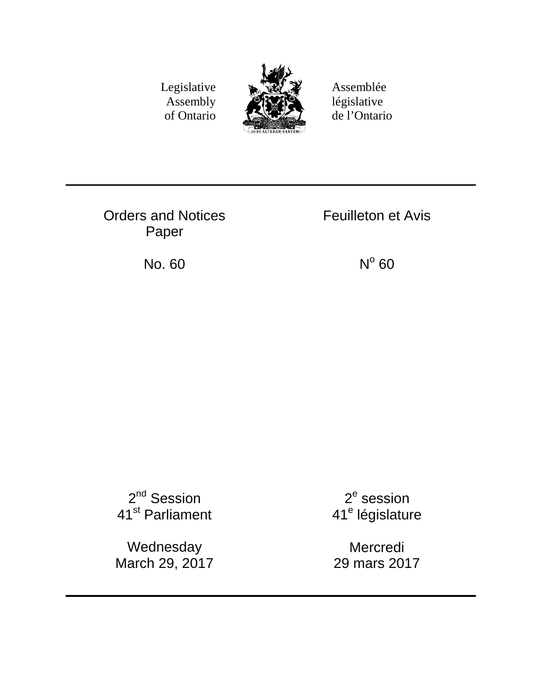Legislative Assembly of Ontario



Assemblée législative de l'Ontario

Orders and Notices Paper

Feuilleton et Avis

No. 60  $N^{\circ}$  60

2<sup>nd</sup> Session 41st Parliament

Wednesday March 29, 2017

2<sup>e</sup> session 41<sup>e</sup> législature

Mercredi 29 mars 2017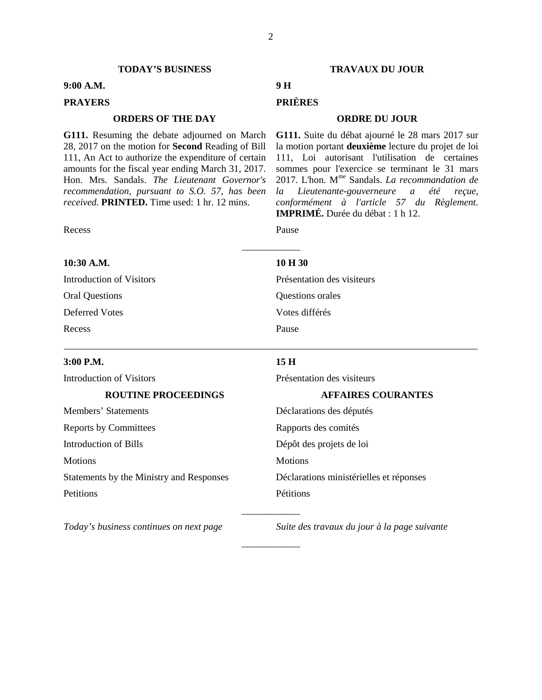#### **TODAY'S BUSINESS TRAVAUX DU JOUR**

#### **9:00 A.M. 9 H**

# **PRAYERS PRIÈRES**

### **ORDERS OF THE DAY ORDRE DU JOUR**

**G111.** Resuming the debate adjourned on March 28, 2017 on the motion for **Second** Reading of Bill 111, An Act to authorize the expenditure of certain amounts for the fiscal year ending March 31, 2017. Hon. Mrs. Sandals. *The Lieutenant Governor's recommendation, pursuant to S.O. 57, has been received.* **PRINTED.** Time used: 1 hr. 12 mins.

Recess Pause

**10:30 A.M. 10 H 30**

Oral Questions Questions orales Deferred Votes Votes différés

Recess Pause

Introduction of Visitors Présentation des visiteurs

#### **3:00 P.M. 15 H**

Members' Statements Déclarations des députés Reports by Committees Rapports des comités Introduction of Bills Dépôt des projets de loi Motions Motions Motions Motions Motions Motions Motions Motions Motions Motions Motions Motions Motions (1975) Petitions Pétitions

Introduction of Visitors Présentation des visiteurs

#### **ROUTINE PROCEEDINGS AFFAIRES COURANTES**

Statements by the Ministry and Responses Déclarations ministérielles et réponses

*Today's business continues on next page Suite des travaux du jour à la page suivante*

**G111.** Suite du débat ajourné le 28 mars 2017 sur la motion portant **deuxième** lecture du projet de loi 111, Loi autorisant l'utilisation de certaines sommes pour l'exercice se terminant le 31 mars 2017. L'hon. Mme Sandals. *La recommandation de la Lieutenante-gouverneure a été reçue, conformément à l'article 57 du Règlement.*  **IMPRIMÉ.** Durée du débat : 1 h 12.

\_\_\_\_\_\_\_\_\_\_\_\_

\_\_\_\_\_\_\_\_\_\_\_\_\_\_\_\_\_\_\_\_\_\_\_\_\_\_\_\_\_\_\_\_\_\_\_\_\_\_\_\_\_\_\_\_\_\_\_\_\_\_\_\_\_\_\_\_\_\_\_\_\_\_\_\_\_\_\_\_\_\_\_\_\_\_\_\_\_\_\_\_\_\_\_\_\_

\_\_\_\_\_\_\_\_\_\_\_\_

\_\_\_\_\_\_\_\_\_\_\_\_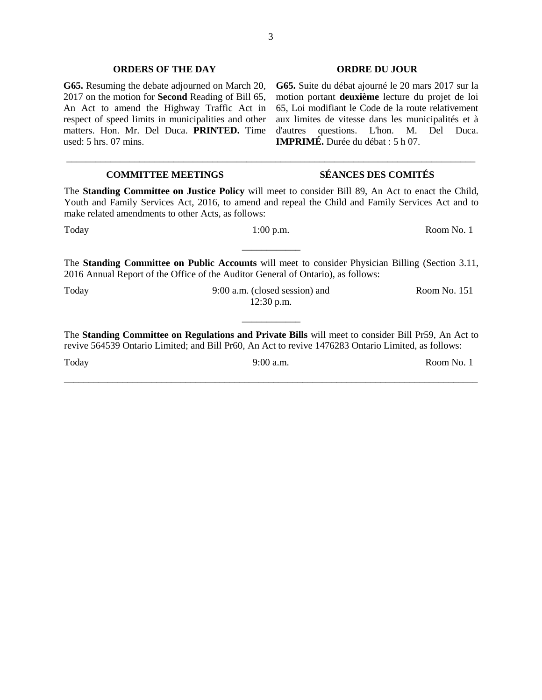#### **ORDERS OF THE DAY ORDRE DU JOUR**

**G65.** Resuming the debate adjourned on March 20, 2017 on the motion for **Second** Reading of Bill 65, An Act to amend the Highway Traffic Act in respect of speed limits in municipalities and other matters. Hon. Mr. Del Duca. **PRINTED.** Time used: 5 hrs. 07 mins.

**G65.** Suite du débat ajourné le 20 mars 2017 sur la motion portant **deuxième** lecture du projet de loi 65, Loi modifiant le Code de la route relativement aux limites de vitesse dans les municipalités et à d'autres questions. L'hon. M. Del Duca. **IMPRIMÉ.** Durée du débat : 5 h 07.

# **COMMITTEE MEETINGS SÉANCES DES COMITÉS** The **Standing Committee on Justice Policy** will meet to consider Bill 89, An Act to enact the Child, Youth and Family Services Act, 2016, to amend and repeal the Child and Family Services Act and to make related amendments to other Acts, as follows: Today 1:00 p.m. Room No. 1 \_\_\_\_\_\_\_\_\_\_\_\_ The **Standing Committee on Public Accounts** will meet to consider Physician Billing (Section 3.11, 2016 Annual Report of the Office of the Auditor General of Ontario), as follows: Today 9:00 a.m. (closed session) and 12:30 p.m. Room No. 151 \_\_\_\_\_\_\_\_\_\_\_\_ The **Standing Committee on Regulations and Private Bills** will meet to consider Bill Pr59, An Act to revive 564539 Ontario Limited; and Bill Pr60, An Act to revive 1476283 Ontario Limited, as follows: Today 9:00 a.m. Room No. 1 \_\_\_\_\_\_\_\_\_\_\_\_\_\_\_\_\_\_\_\_\_\_\_\_\_\_\_\_\_\_\_\_\_\_\_\_\_\_\_\_\_\_\_\_\_\_\_\_\_\_\_\_\_\_\_\_\_\_\_\_\_\_\_\_\_\_\_\_\_\_\_\_\_\_\_\_\_\_\_\_\_\_\_\_\_

\_\_\_\_\_\_\_\_\_\_\_\_\_\_\_\_\_\_\_\_\_\_\_\_\_\_\_\_\_\_\_\_\_\_\_\_\_\_\_\_\_\_\_\_\_\_\_\_\_\_\_\_\_\_\_\_\_\_\_\_\_\_\_\_\_\_\_\_\_\_\_\_\_\_\_\_\_\_\_\_\_\_\_\_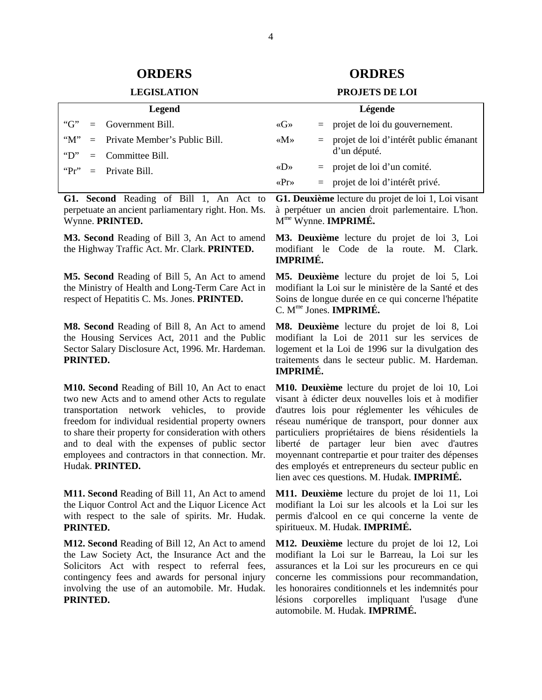### **LEGISLATION**

### **ORDERS ORDRES**

| Legend       |  |                                   | Légende                             |  |                                            |
|--------------|--|-----------------------------------|-------------------------------------|--|--------------------------------------------|
| "G"          |  | $=$ Government Bill.              | $\langle G \rangle$                 |  | $=$ projet de loi du gouvernement.         |
| " $M$ "      |  | $=$ Private Member's Public Bill. | $\langle M \rangle$                 |  | $=$ projet de loi d'intérêt public émanant |
| $\mathbf{D}$ |  | $=$ Committee Bill.               |                                     |  | d'un député.                               |
|              |  | " $Pr" = Private Bill$            | $\langle \langle D \rangle \rangle$ |  | $=$ projet de loi d'un comité.             |
|              |  |                                   | $\langle \text{Pr} \rangle$         |  | $=$ projet de loi d'intérêt privé.         |

**G1. Second** Reading of Bill 1, An Act to perpetuate an ancient parliamentary right. Hon. Ms. Wynne. **PRINTED.** 

**M3. Second** Reading of Bill 3, An Act to amend the Highway Traffic Act. Mr. Clark. **PRINTED.** 

**M5. Second** Reading of Bill 5, An Act to amend the Ministry of Health and Long-Term Care Act in respect of Hepatitis C. Ms. Jones. **PRINTED.** 

**M8. Second** Reading of Bill 8, An Act to amend the Housing Services Act, 2011 and the Public Sector Salary Disclosure Act, 1996. Mr. Hardeman. **PRINTED.** 

**M10. Second** Reading of Bill 10, An Act to enact two new Acts and to amend other Acts to regulate transportation network vehicles, to provide freedom for individual residential property owners to share their property for consideration with others and to deal with the expenses of public sector employees and contractors in that connection. Mr. Hudak. **PRINTED.** 

**M11. Second** Reading of Bill 11, An Act to amend the Liquor Control Act and the Liquor Licence Act with respect to the sale of spirits. Mr. Hudak. **PRINTED.** 

**M12. Second** Reading of Bill 12, An Act to amend the Law Society Act, the Insurance Act and the Solicitors Act with respect to referral fees, contingency fees and awards for personal injury involving the use of an automobile. Mr. Hudak. **PRINTED.** 

**G1. Deuxième** lecture du projet de loi 1, Loi visant à perpétuer un ancien droit parlementaire. L'hon. Mme Wynne. **IMPRIMÉ.** 

**M3. Deuxième** lecture du projet de loi 3, Loi modifiant le Code de la route. M. Clark. **IMPRIMÉ.** 

**M5. Deuxième** lecture du projet de loi 5, Loi modifiant la Loi sur le ministère de la Santé et des Soins de longue durée en ce qui concerne l'hépatite C. Mme Jones. **IMPRIMÉ.** 

**M8. Deuxième** lecture du projet de loi 8, Loi modifiant la Loi de 2011 sur les services de logement et la Loi de 1996 sur la divulgation des traitements dans le secteur public. M. Hardeman. **IMPRIMÉ.** 

**M10. Deuxième** lecture du projet de loi 10, Loi visant à édicter deux nouvelles lois et à modifier d'autres lois pour réglementer les véhicules de réseau numérique de transport, pour donner aux particuliers propriétaires de biens résidentiels la liberté de partager leur bien avec d'autres moyennant contrepartie et pour traiter des dépenses des employés et entrepreneurs du secteur public en lien avec ces questions. M. Hudak. **IMPRIMÉ.** 

**M11. Deuxième** lecture du projet de loi 11, Loi modifiant la Loi sur les alcools et la Loi sur les permis d'alcool en ce qui concerne la vente de spiritueux. M. Hudak. **IMPRIMÉ.** 

**M12. Deuxième** lecture du projet de loi 12, Loi modifiant la Loi sur le Barreau, la Loi sur les assurances et la Loi sur les procureurs en ce qui concerne les commissions pour recommandation, les honoraires conditionnels et les indemnités pour lésions corporelles impliquant l'usage d'une automobile. M. Hudak. **IMPRIMÉ.**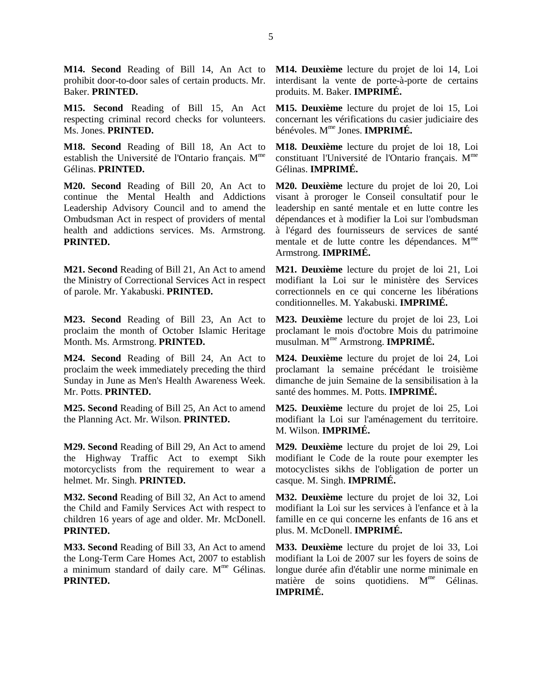**M14. Second** Reading of Bill 14, An Act to prohibit door-to-door sales of certain products. Mr. Baker. **PRINTED.** 

**M15. Second** Reading of Bill 15, An Act respecting criminal record checks for volunteers. Ms. Jones. **PRINTED.** 

**M18. Second** Reading of Bill 18, An Act to establish the Université de l'Ontario français. M<sup>me</sup> Gélinas. **PRINTED.** 

**M20. Second** Reading of Bill 20, An Act to continue the Mental Health and Addictions Leadership Advisory Council and to amend the Ombudsman Act in respect of providers of mental health and addictions services. Ms. Armstrong. **PRINTED.** 

**M21. Second** Reading of Bill 21, An Act to amend the Ministry of Correctional Services Act in respect of parole. Mr. Yakabuski. **PRINTED.** 

**M23. Second** Reading of Bill 23, An Act to proclaim the month of October Islamic Heritage Month. Ms. Armstrong. **PRINTED.** 

**M24. Second** Reading of Bill 24, An Act to proclaim the week immediately preceding the third Sunday in June as Men's Health Awareness Week. Mr. Potts. **PRINTED.** 

**M25. Second** Reading of Bill 25, An Act to amend the Planning Act. Mr. Wilson. **PRINTED.** 

**M29. Second** Reading of Bill 29, An Act to amend the Highway Traffic Act to exempt Sikh motorcyclists from the requirement to wear a helmet. Mr. Singh. **PRINTED.** 

**M32. Second** Reading of Bill 32, An Act to amend the Child and Family Services Act with respect to children 16 years of age and older. Mr. McDonell. **PRINTED.** 

**M33. Second** Reading of Bill 33, An Act to amend the Long-Term Care Homes Act, 2007 to establish a minimum standard of daily care.  $M<sup>me</sup>$  Gélinas. **PRINTED.** 

**M14. Deuxième** lecture du projet de loi 14, Loi interdisant la vente de porte-à-porte de certains produits. M. Baker. **IMPRIMÉ.** 

**M15. Deuxième** lecture du projet de loi 15, Loi concernant les vérifications du casier judiciaire des bénévoles. Mme Jones. **IMPRIMÉ.** 

**M18. Deuxième** lecture du projet de loi 18, Loi constituant l'Université de l'Ontario français. M<sup>me</sup> Gélinas. **IMPRIMÉ.** 

**M20. Deuxième** lecture du projet de loi 20, Loi visant à proroger le Conseil consultatif pour le leadership en santé mentale et en lutte contre les dépendances et à modifier la Loi sur l'ombudsman à l'égard des fournisseurs de services de santé mentale et de lutte contre les dépendances. M<sup>me</sup> Armstrong. **IMPRIMÉ.** 

**M21. Deuxième** lecture du projet de loi 21, Loi modifiant la Loi sur le ministère des Services correctionnels en ce qui concerne les libérations conditionnelles. M. Yakabuski. **IMPRIMÉ.** 

**M23. Deuxième** lecture du projet de loi 23, Loi proclamant le mois d'octobre Mois du patrimoine musulman. Mme Armstrong. **IMPRIMÉ.** 

**M24. Deuxième** lecture du projet de loi 24, Loi proclamant la semaine précédant le troisième dimanche de juin Semaine de la sensibilisation à la santé des hommes. M. Potts. **IMPRIMÉ.** 

**M25. Deuxième** lecture du projet de loi 25, Loi modifiant la Loi sur l'aménagement du territoire. M. Wilson. **IMPRIMÉ.** 

**M29. Deuxième** lecture du projet de loi 29, Loi modifiant le Code de la route pour exempter les motocyclistes sikhs de l'obligation de porter un casque. M. Singh. **IMPRIMÉ.** 

**M32. Deuxième** lecture du projet de loi 32, Loi modifiant la Loi sur les services à l'enfance et à la famille en ce qui concerne les enfants de 16 ans et plus. M. McDonell. **IMPRIMÉ.** 

**M33. Deuxième** lecture du projet de loi 33, Loi modifiant la Loi de 2007 sur les foyers de soins de longue durée afin d'établir une norme minimale en matière de soins quotidiens. M<sup>me</sup> Gélinas. **IMPRIMÉ.**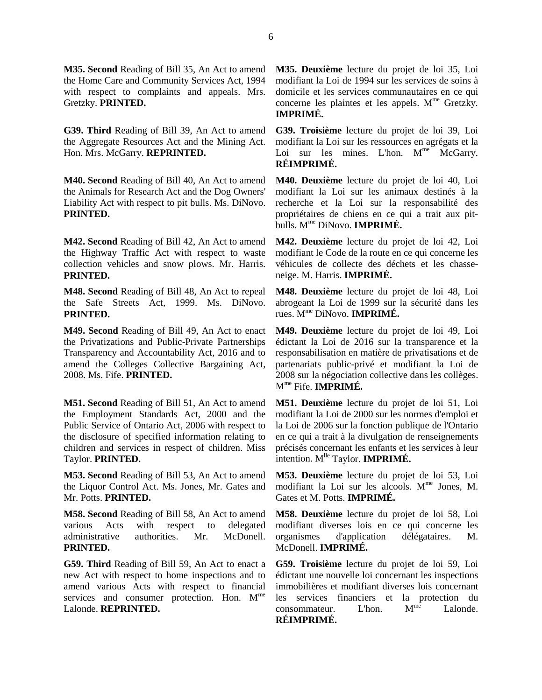**M35. Second** Reading of Bill 35, An Act to amend the Home Care and Community Services Act, 1994 with respect to complaints and appeals. Mrs. Gretzky. **PRINTED.** 

**G39. Third** Reading of Bill 39, An Act to amend the Aggregate Resources Act and the Mining Act. Hon. Mrs. McGarry. **REPRINTED.** 

**M40. Second** Reading of Bill 40, An Act to amend the Animals for Research Act and the Dog Owners' Liability Act with respect to pit bulls. Ms. DiNovo. **PRINTED.** 

**M42. Second** Reading of Bill 42, An Act to amend the Highway Traffic Act with respect to waste collection vehicles and snow plows. Mr. Harris. **PRINTED.** 

**M48. Second** Reading of Bill 48, An Act to repeal the Safe Streets Act, 1999. Ms. DiNovo. **PRINTED.** 

**M49. Second** Reading of Bill 49, An Act to enact the Privatizations and Public-Private Partnerships Transparency and Accountability Act, 2016 and to amend the Colleges Collective Bargaining Act, 2008. Ms. Fife. **PRINTED.** 

**M51. Second** Reading of Bill 51, An Act to amend the Employment Standards Act, 2000 and the Public Service of Ontario Act, 2006 with respect to the disclosure of specified information relating to children and services in respect of children. Miss Taylor. **PRINTED.** 

**M53. Second** Reading of Bill 53, An Act to amend the Liquor Control Act. Ms. Jones, Mr. Gates and Mr. Potts. **PRINTED.** 

**M58. Second** Reading of Bill 58, An Act to amend various Acts with respect to delegated administrative authorities. Mr. McDonell. **PRINTED.** 

**G59. Third** Reading of Bill 59, An Act to enact a new Act with respect to home inspections and to amend various Acts with respect to financial services and consumer protection. Hon. M<sup>me</sup> Lalonde. **REPRINTED.** 

**M35. Deuxième** lecture du projet de loi 35, Loi modifiant la Loi de 1994 sur les services de soins à domicile et les services communautaires en ce qui concerne les plaintes et les appels. M<sup>me</sup> Gretzky. **IMPRIMÉ.** 

**G39. Troisième** lecture du projet de loi 39, Loi modifiant la Loi sur les ressources en agrégats et la Loi sur les mines. L'hon.  $M^{me}$  McGarry. **RÉIMPRIMÉ.** 

**M40. Deuxième** lecture du projet de loi 40, Loi modifiant la Loi sur les animaux destinés à la recherche et la Loi sur la responsabilité des propriétaires de chiens en ce qui a trait aux pitbulls. Mme DiNovo. **IMPRIMÉ.** 

**M42. Deuxième** lecture du projet de loi 42, Loi modifiant le Code de la route en ce qui concerne les véhicules de collecte des déchets et les chasseneige. M. Harris. **IMPRIMÉ.** 

**M48. Deuxième** lecture du projet de loi 48, Loi abrogeant la Loi de 1999 sur la sécurité dans les rues. Mme DiNovo. **IMPRIMÉ.** 

**M49. Deuxième** lecture du projet de loi 49, Loi édictant la Loi de 2016 sur la transparence et la responsabilisation en matière de privatisations et de partenariats public-privé et modifiant la Loi de 2008 sur la négociation collective dans les collèges. Mme Fife. **IMPRIMÉ.** 

**M51. Deuxième** lecture du projet de loi 51, Loi modifiant la Loi de 2000 sur les normes d'emploi et la Loi de 2006 sur la fonction publique de l'Ontario en ce qui a trait à la divulgation de renseignements précisés concernant les enfants et les services à leur intention. M<sup>lle</sup> Taylor. **IMPRIMÉ.** 

**M53. Deuxième** lecture du projet de loi 53, Loi modifiant la Loi sur les alcools. Mme Jones, M. Gates et M. Potts. **IMPRIMÉ.** 

**M58. Deuxième** lecture du projet de loi 58, Loi modifiant diverses lois en ce qui concerne les organismes d'application délégataires. M. McDonell. **IMPRIMÉ.** 

**G59. Troisième** lecture du projet de loi 59, Loi édictant une nouvelle loi concernant les inspections immobilières et modifiant diverses lois concernant les services financiers et la protection du consommateur. L'hon. M<sup>me</sup> Lalonde. **RÉIMPRIMÉ.**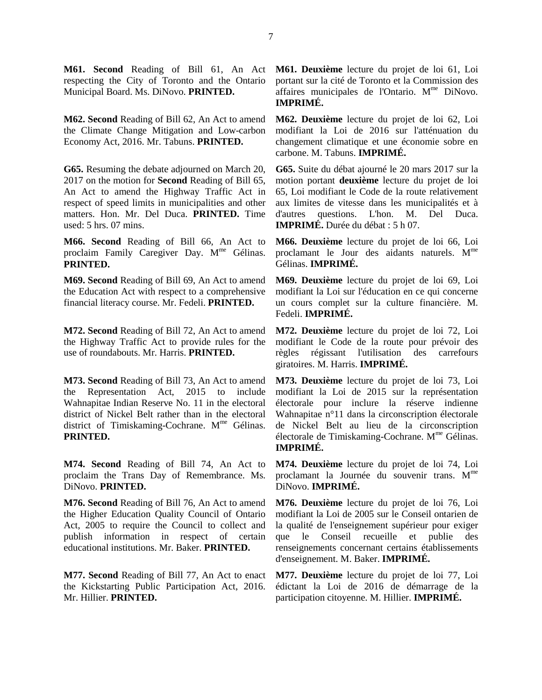**M61. Second** Reading of Bill 61, An Act respecting the City of Toronto and the Ontario Municipal Board. Ms. DiNovo. **PRINTED.** 

**M62. Second** Reading of Bill 62, An Act to amend the Climate Change Mitigation and Low-carbon Economy Act, 2016. Mr. Tabuns. **PRINTED.** 

**G65.** Resuming the debate adjourned on March 20, 2017 on the motion for **Second** Reading of Bill 65, An Act to amend the Highway Traffic Act in respect of speed limits in municipalities and other matters. Hon. Mr. Del Duca. **PRINTED.** Time used: 5 hrs. 07 mins.

**M66. Second** Reading of Bill 66, An Act to proclaim Family Caregiver Day. M<sup>me</sup> Gélinas. **PRINTED.** 

**M69. Second** Reading of Bill 69, An Act to amend the Education Act with respect to a comprehensive financial literacy course. Mr. Fedeli. **PRINTED.** 

**M72. Second** Reading of Bill 72, An Act to amend the Highway Traffic Act to provide rules for the use of roundabouts. Mr. Harris. **PRINTED.** 

**M73. Second** Reading of Bill 73, An Act to amend the Representation Act, 2015 to include Wahnapitae Indian Reserve No. 11 in the electoral district of Nickel Belt rather than in the electoral district of Timiskaming-Cochrane. M<sup>me</sup> Gélinas. **PRINTED.** 

**M74. Second** Reading of Bill 74, An Act to proclaim the Trans Day of Remembrance. Ms. DiNovo. **PRINTED.** 

**M76. Second** Reading of Bill 76, An Act to amend the Higher Education Quality Council of Ontario Act, 2005 to require the Council to collect and publish information in respect of certain educational institutions. Mr. Baker. **PRINTED.** 

**M77. Second** Reading of Bill 77, An Act to enact the Kickstarting Public Participation Act, 2016. Mr. Hillier. **PRINTED.** 

**M61. Deuxième** lecture du projet de loi 61, Loi portant sur la cité de Toronto et la Commission des affaires municipales de l'Ontario. M<sup>me</sup> DiNovo. **IMPRIMÉ.** 

**M62. Deuxième** lecture du projet de loi 62, Loi modifiant la Loi de 2016 sur l'atténuation du changement climatique et une économie sobre en carbone. M. Tabuns. **IMPRIMÉ.** 

**G65.** Suite du débat ajourné le 20 mars 2017 sur la motion portant **deuxième** lecture du projet de loi 65, Loi modifiant le Code de la route relativement aux limites de vitesse dans les municipalités et à d'autres questions. L'hon. M. Del Duca. **IMPRIMÉ.** Durée du débat : 5 h 07.

**M66. Deuxième** lecture du projet de loi 66, Loi proclamant le Jour des aidants naturels. M<sup>me</sup> Gélinas. **IMPRIMÉ.** 

**M69. Deuxième** lecture du projet de loi 69, Loi modifiant la Loi sur l'éducation en ce qui concerne un cours complet sur la culture financière. M. Fedeli. **IMPRIMÉ.** 

**M72. Deuxième** lecture du projet de loi 72, Loi modifiant le Code de la route pour prévoir des règles régissant l'utilisation des carrefours giratoires. M. Harris. **IMPRIMÉ.** 

**M73. Deuxième** lecture du projet de loi 73, Loi modifiant la Loi de 2015 sur la représentation électorale pour inclure la réserve indienne Wahnapitae n°11 dans la circonscription électorale de Nickel Belt au lieu de la circonscription électorale de Timiskaming-Cochrane. Mme Gélinas. **IMPRIMÉ.** 

**M74. Deuxième** lecture du projet de loi 74, Loi proclamant la Journée du souvenir trans. M<sup>me</sup> DiNovo. **IMPRIMÉ.** 

**M76. Deuxième** lecture du projet de loi 76, Loi modifiant la Loi de 2005 sur le Conseil ontarien de la qualité de l'enseignement supérieur pour exiger que le Conseil recueille et publie des renseignements concernant certains établissements d'enseignement. M. Baker. **IMPRIMÉ.** 

**M77. Deuxième** lecture du projet de loi 77, Loi édictant la Loi de 2016 de démarrage de la participation citoyenne. M. Hillier. **IMPRIMÉ.**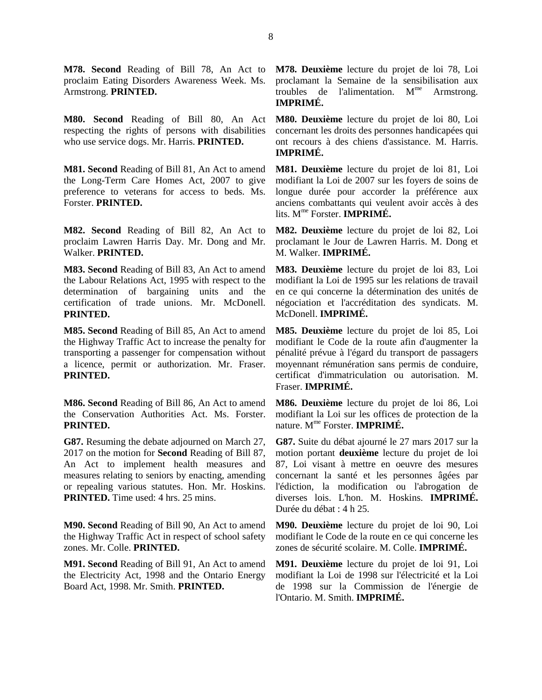proclaim Eating Disorders Awareness Week. Ms. Armstrong. **PRINTED.** 

**M80. Second** Reading of Bill 80, An Act respecting the rights of persons with disabilities who use service dogs. Mr. Harris. **PRINTED.** 

**M81. Second** Reading of Bill 81, An Act to amend the Long-Term Care Homes Act, 2007 to give preference to veterans for access to beds. Ms. Forster. **PRINTED.** 

**M82. Second** Reading of Bill 82, An Act to proclaim Lawren Harris Day. Mr. Dong and Mr. Walker. **PRINTED.** 

**M83. Second** Reading of Bill 83, An Act to amend the Labour Relations Act, 1995 with respect to the determination of bargaining units and the certification of trade unions. Mr. McDonell. **PRINTED.** 

**M85. Second** Reading of Bill 85, An Act to amend the Highway Traffic Act to increase the penalty for transporting a passenger for compensation without a licence, permit or authorization. Mr. Fraser. **PRINTED.** 

**M86. Second** Reading of Bill 86, An Act to amend the Conservation Authorities Act. Ms. Forster. **PRINTED.** 

**G87.** Resuming the debate adjourned on March 27, 2017 on the motion for **Second** Reading of Bill 87, An Act to implement health measures and measures relating to seniors by enacting, amending or repealing various statutes. Hon. Mr. Hoskins. **PRINTED.** Time used: 4 hrs. 25 mins.

**M90. Second** Reading of Bill 90, An Act to amend the Highway Traffic Act in respect of school safety zones. Mr. Colle. **PRINTED.** 

**M91. Second** Reading of Bill 91, An Act to amend the Electricity Act, 1998 and the Ontario Energy Board Act, 1998. Mr. Smith. **PRINTED.** 

**M78. Second** Reading of Bill 78, An Act to **M78. Deuxième** lecture du projet de loi 78, Loi proclamant la Semaine de la sensibilisation aux troubles de l'alimentation.  $M^{me}$  Armstrong. **IMPRIMÉ.** 

> **M80. Deuxième** lecture du projet de loi 80, Loi concernant les droits des personnes handicapées qui ont recours à des chiens d'assistance. M. Harris. **IMPRIMÉ.**

> **M81. Deuxième** lecture du projet de loi 81, Loi modifiant la Loi de 2007 sur les foyers de soins de longue durée pour accorder la préférence aux anciens combattants qui veulent avoir accès à des lits. Mme Forster. **IMPRIMÉ.**

> **M82. Deuxième** lecture du projet de loi 82, Loi proclamant le Jour de Lawren Harris. M. Dong et M. Walker. **IMPRIMÉ.**

> **M83. Deuxième** lecture du projet de loi 83, Loi modifiant la Loi de 1995 sur les relations de travail en ce qui concerne la détermination des unités de négociation et l'accréditation des syndicats. M. McDonell. **IMPRIMÉ.**

> **M85. Deuxième** lecture du projet de loi 85, Loi modifiant le Code de la route afin d'augmenter la pénalité prévue à l'égard du transport de passagers moyennant rémunération sans permis de conduire, certificat d'immatriculation ou autorisation. M. Fraser. **IMPRIMÉ.**

> **M86. Deuxième** lecture du projet de loi 86, Loi modifiant la Loi sur les offices de protection de la nature. Mme Forster. **IMPRIMÉ.**

> **G87.** Suite du débat ajourné le 27 mars 2017 sur la motion portant **deuxième** lecture du projet de loi 87, Loi visant à mettre en oeuvre des mesures concernant la santé et les personnes âgées par l'édiction, la modification ou l'abrogation de diverses lois. L'hon. M. Hoskins. **IMPRIMÉ.**  Durée du débat : 4 h 25.

> **M90. Deuxième** lecture du projet de loi 90, Loi modifiant le Code de la route en ce qui concerne les zones de sécurité scolaire. M. Colle. **IMPRIMÉ.**

> **M91. Deuxième** lecture du projet de loi 91, Loi modifiant la Loi de 1998 sur l'électricité et la Loi de 1998 sur la Commission de l'énergie de l'Ontario. M. Smith. **IMPRIMÉ.**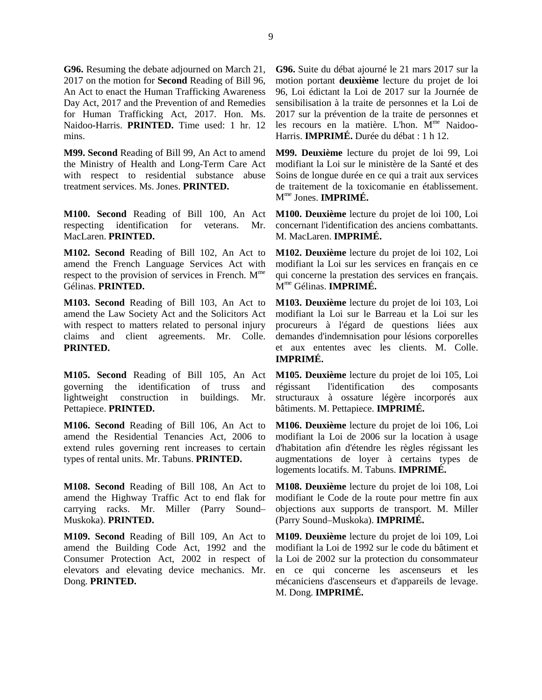**G96.** Resuming the debate adjourned on March 21, 2017 on the motion for **Second** Reading of Bill 96, An Act to enact the Human Trafficking Awareness Day Act, 2017 and the Prevention of and Remedies for Human Trafficking Act, 2017. Hon. Ms. Naidoo-Harris. **PRINTED.** Time used: 1 hr. 12 mins.

**M99. Second** Reading of Bill 99, An Act to amend the Ministry of Health and Long-Term Care Act with respect to residential substance abuse treatment services. Ms. Jones. **PRINTED.** 

**M100. Second** Reading of Bill 100, An Act respecting identification for veterans. Mr. MacLaren. **PRINTED.** 

**M102. Second** Reading of Bill 102, An Act to amend the French Language Services Act with respect to the provision of services in French. M<sup>me</sup> Gélinas. **PRINTED.** 

**M103. Second** Reading of Bill 103, An Act to amend the Law Society Act and the Solicitors Act with respect to matters related to personal injury claims and client agreements. Mr. Colle. **PRINTED.** 

**M105. Second** Reading of Bill 105, An Act governing the identification of truss and lightweight construction in buildings. Mr. Pettapiece. **PRINTED.** 

**M106. Second** Reading of Bill 106, An Act to amend the Residential Tenancies Act, 2006 to extend rules governing rent increases to certain types of rental units. Mr. Tabuns. **PRINTED.** 

**M108. Second** Reading of Bill 108, An Act to amend the Highway Traffic Act to end flak for carrying racks. Mr. Miller (Parry Sound– Muskoka). **PRINTED.** 

**M109. Second** Reading of Bill 109, An Act to amend the Building Code Act, 1992 and the Consumer Protection Act, 2002 in respect of elevators and elevating device mechanics. Mr. Dong. **PRINTED.** 

**G96.** Suite du débat ajourné le 21 mars 2017 sur la motion portant **deuxième** lecture du projet de loi 96, Loi édictant la Loi de 2017 sur la Journée de sensibilisation à la traite de personnes et la Loi de 2017 sur la prévention de la traite de personnes et les recours en la matière. L'hon.  $\overline{M}^{\text{me}}$  Naidoo-Harris. **IMPRIMÉ.** Durée du débat : 1 h 12.

**M99. Deuxième** lecture du projet de loi 99, Loi modifiant la Loi sur le ministère de la Santé et des Soins de longue durée en ce qui a trait aux services de traitement de la toxicomanie en établissement. Mme Jones. **IMPRIMÉ.** 

**M100. Deuxième** lecture du projet de loi 100, Loi concernant l'identification des anciens combattants. M. MacLaren. **IMPRIMÉ.** 

**M102. Deuxième** lecture du projet de loi 102, Loi modifiant la Loi sur les services en français en ce qui concerne la prestation des services en français. Mme Gélinas. **IMPRIMÉ.** 

**M103. Deuxième** lecture du projet de loi 103, Loi modifiant la Loi sur le Barreau et la Loi sur les procureurs à l'égard de questions liées aux demandes d'indemnisation pour lésions corporelles et aux ententes avec les clients. M. Colle. **IMPRIMÉ.** 

**M105. Deuxième** lecture du projet de loi 105, Loi régissant l'identification des composants structuraux à ossature légère incorporés aux bâtiments. M. Pettapiece. **IMPRIMÉ.** 

**M106. Deuxième** lecture du projet de loi 106, Loi modifiant la Loi de 2006 sur la location à usage d'habitation afin d'étendre les règles régissant les augmentations de loyer à certains types de logements locatifs. M. Tabuns. **IMPRIMÉ.** 

**M108. Deuxième** lecture du projet de loi 108, Loi modifiant le Code de la route pour mettre fin aux objections aux supports de transport. M. Miller (Parry Sound–Muskoka). **IMPRIMÉ.** 

**M109. Deuxième** lecture du projet de loi 109, Loi modifiant la Loi de 1992 sur le code du bâtiment et la Loi de 2002 sur la protection du consommateur en ce qui concerne les ascenseurs et les mécaniciens d'ascenseurs et d'appareils de levage. M. Dong. **IMPRIMÉ.**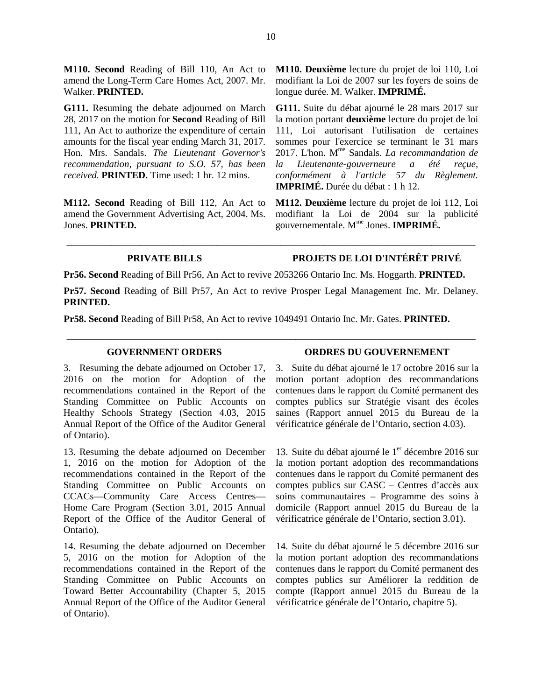**M110. Second** Reading of Bill 110, An Act to amend the Long-Term Care Homes Act, 2007. Mr. Walker. **PRINTED.** 

**G111.** Resuming the debate adjourned on March 28, 2017 on the motion for **Second** Reading of Bill 111, An Act to authorize the expenditure of certain amounts for the fiscal year ending March 31, 2017. Hon. Mrs. Sandals. *The Lieutenant Governor's recommendation, pursuant to S.O. 57, has been received.* **PRINTED.** Time used: 1 hr. 12 mins.

**M112. Second** Reading of Bill 112, An Act to amend the Government Advertising Act, 2004. Ms. Jones. **PRINTED.** 

**M110. Deuxième** lecture du projet de loi 110, Loi modifiant la Loi de 2007 sur les foyers de soins de longue durée. M. Walker. **IMPRIMÉ.** 

**G111.** Suite du débat ajourné le 28 mars 2017 sur la motion portant **deuxième** lecture du projet de loi 111, Loi autorisant l'utilisation de certaines sommes pour l'exercice se terminant le 31 mars 2017. L'hon. Mme Sandals. *La recommandation de la Lieutenante-gouverneure a été reçue, conformément à l'article 57 du Règlement.*  **IMPRIMÉ.** Durée du débat : 1 h 12.

**M112. Deuxième** lecture du projet de loi 112, Loi modifiant la Loi de 2004 sur la publicité gouvernementale. Mme Jones. **IMPRIMÉ.** 

## **PRIVATE BILLS PROJETS DE LOI D'INTÉRÊT PRIVÉ**

**Pr56. Second** Reading of Bill Pr56, An Act to revive 2053266 Ontario Inc. Ms. Hoggarth. **PRINTED.** 

**Pr57. Second** Reading of Bill Pr57, An Act to revive Prosper Legal Management Inc. Mr. Delaney. **PRINTED.** 

\_\_\_\_\_\_\_\_\_\_\_\_\_\_\_\_\_\_\_\_\_\_\_\_\_\_\_\_\_\_\_\_\_\_\_\_\_\_\_\_\_\_\_\_\_\_\_\_\_\_\_\_\_\_\_\_\_\_\_\_\_\_\_\_\_\_\_\_\_\_\_\_\_\_\_\_\_\_\_\_\_\_\_\_

\_\_\_\_\_\_\_\_\_\_\_\_\_\_\_\_\_\_\_\_\_\_\_\_\_\_\_\_\_\_\_\_\_\_\_\_\_\_\_\_\_\_\_\_\_\_\_\_\_\_\_\_\_\_\_\_\_\_\_\_\_\_\_\_\_\_\_\_\_\_\_\_\_\_\_\_\_\_\_\_\_\_\_\_

**Pr58. Second** Reading of Bill Pr58, An Act to revive 1049491 Ontario Inc. Mr. Gates. **PRINTED.** 

3. Resuming the debate adjourned on October 17, 2016 on the motion for Adoption of the recommendations contained in the Report of the Standing Committee on Public Accounts on Healthy Schools Strategy (Section 4.03, 2015 Annual Report of the Office of the Auditor General of Ontario).

13. Resuming the debate adjourned on December 1, 2016 on the motion for Adoption of the recommendations contained in the Report of the Standing Committee on Public Accounts on CCACs—Community Care Access Centres— Home Care Program (Section 3.01, 2015 Annual Report of the Office of the Auditor General of Ontario).

14. Resuming the debate adjourned on December 5, 2016 on the motion for Adoption of the recommendations contained in the Report of the Standing Committee on Public Accounts on Toward Better Accountability (Chapter 5, 2015 Annual Report of the Office of the Auditor General of Ontario).

#### **GOVERNMENT ORDERS ORDRES DU GOUVERNEMENT**

3. Suite du débat ajourné le 17 octobre 2016 sur la motion portant adoption des recommandations contenues dans le rapport du Comité permanent des comptes publics sur Stratégie visant des écoles saines (Rapport annuel 2015 du Bureau de la vérificatrice générale de l'Ontario, section 4.03).

13. Suite du débat ajourné le  $1<sup>er</sup>$  décembre 2016 sur la motion portant adoption des recommandations contenues dans le rapport du Comité permanent des comptes publics sur CASC – Centres d'accès aux soins communautaires – Programme des soins à domicile (Rapport annuel 2015 du Bureau de la vérificatrice générale de l'Ontario, section 3.01).

14. Suite du débat ajourné le 5 décembre 2016 sur la motion portant adoption des recommandations contenues dans le rapport du Comité permanent des comptes publics sur Améliorer la reddition de compte (Rapport annuel 2015 du Bureau de la vérificatrice générale de l'Ontario, chapitre 5).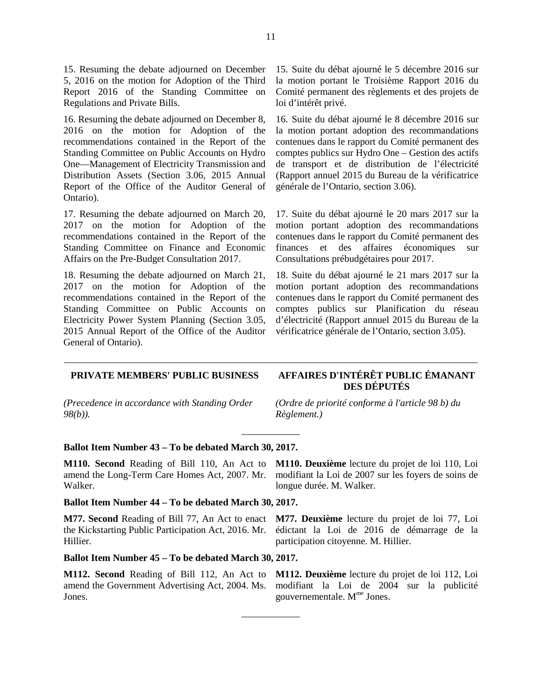15. Resuming the debate adjourned on December 5, 2016 on the motion for Adoption of the Third Report 2016 of the Standing Committee on Regulations and Private Bills.

16. Resuming the debate adjourned on December 8, 2016 on the motion for Adoption of the recommendations contained in the Report of the Standing Committee on Public Accounts on Hydro One—Management of Electricity Transmission and Distribution Assets (Section 3.06, 2015 Annual Report of the Office of the Auditor General of Ontario).

17. Resuming the debate adjourned on March 20, 2017 on the motion for Adoption of the recommendations contained in the Report of the Standing Committee on Finance and Economic Affairs on the Pre-Budget Consultation 2017.

18. Resuming the debate adjourned on March 21, 2017 on the motion for Adoption of the recommendations contained in the Report of the Standing Committee on Public Accounts on Electricity Power System Planning (Section 3.05, 2015 Annual Report of the Office of the Auditor General of Ontario).

15. Suite du débat ajourné le 5 décembre 2016 sur la motion portant le Troisième Rapport 2016 du Comité permanent des règlements et des projets de loi d'intérêt privé.

16. Suite du débat ajourné le 8 décembre 2016 sur la motion portant adoption des recommandations contenues dans le rapport du Comité permanent des comptes publics sur Hydro One – Gestion des actifs de transport et de distribution de l'électricité (Rapport annuel 2015 du Bureau de la vérificatrice générale de l'Ontario, section 3.06).

17. Suite du débat ajourné le 20 mars 2017 sur la motion portant adoption des recommandations contenues dans le rapport du Comité permanent des finances et des affaires économiques sur Consultations prébudgétaires pour 2017.

18. Suite du débat ajourné le 21 mars 2017 sur la motion portant adoption des recommandations contenues dans le rapport du Comité permanent des comptes publics sur Planification du réseau d'électricité (Rapport annuel 2015 du Bureau de la vérificatrice générale de l'Ontario, section 3.05).

### **PRIVATE MEMBERS' PUBLIC BUSINESS AFFAIRES D'INTÉRÊT PUBLIC ÉMANANT**

*(Precedence in accordance with Standing Order 98(b)).*

**DES DÉPUTÉS**

*(Ordre de priorité conforme à l'article 98 b) du Règlement.)*

#### **Ballot Item Number 43 – To be debated March 30, 2017.**

**M110. Second** Reading of Bill 110, An Act to amend the Long-Term Care Homes Act, 2007. Mr. Walker.

#### **Ballot Item Number 44 – To be debated March 30, 2017.**

**M77. Second** Reading of Bill 77, An Act to enact the Kickstarting Public Participation Act, 2016. Mr. Hillier.

**M77. Deuxième** lecture du projet de loi 77, Loi édictant la Loi de 2016 de démarrage de la participation citoyenne. M. Hillier.

**M110. Deuxième** lecture du projet de loi 110, Loi modifiant la Loi de 2007 sur les foyers de soins de

longue durée. M. Walker.

#### **Ballot Item Number 45 – To be debated March 30, 2017.**

**M112. Second** Reading of Bill 112, An Act to amend the Government Advertising Act, 2004. Ms. Jones.

**M112. Deuxième** lecture du projet de loi 112, Loi modifiant la Loi de 2004 sur la publicité gouvernementale.  $M<sup>me</sup>$  Jones.

\_\_\_\_\_\_\_\_\_\_\_\_\_\_\_\_\_\_\_\_\_\_\_\_\_\_\_\_\_\_\_\_\_\_\_\_\_\_\_\_\_\_\_\_\_\_\_\_\_\_\_\_\_\_\_\_\_\_\_\_\_\_\_\_\_\_\_\_\_\_\_\_\_\_\_\_\_\_\_\_\_\_\_\_\_

\_\_\_\_\_\_\_\_\_\_\_\_

 $\overline{\phantom{a}}$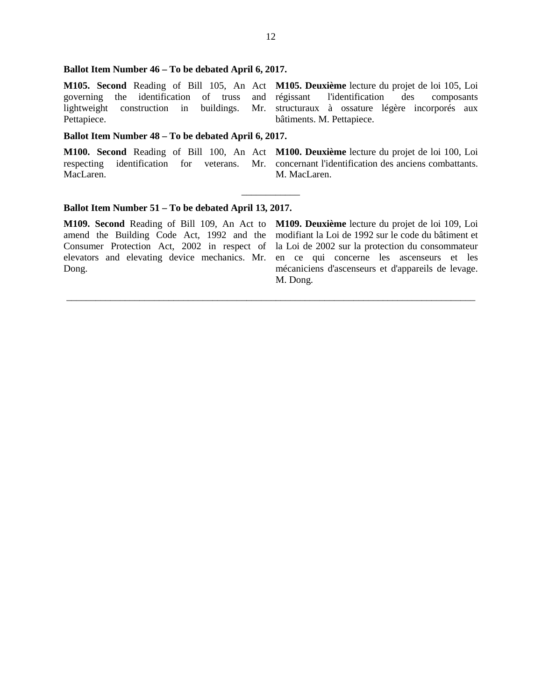#### **Ballot Item Number 46 – To be debated April 6, 2017.**

**M105. Second** Reading of Bill 105, An Act **M105. Deuxième** lecture du projet de loi 105, Loi governing the identification of truss and lightweight construction in buildings. Pettapiece. l'identification des composants Mr. structuraux à ossature légère incorporés aux bâtiments. M. Pettapiece.

 $\overline{\phantom{a}}$ 

\_\_\_\_\_\_\_\_\_\_\_\_\_\_\_\_\_\_\_\_\_\_\_\_\_\_\_\_\_\_\_\_\_\_\_\_\_\_\_\_\_\_\_\_\_\_\_\_\_\_\_\_\_\_\_\_\_\_\_\_\_\_\_\_\_\_\_\_\_\_\_\_\_\_\_\_\_\_\_\_\_\_\_\_

### **Ballot Item Number 48 – To be debated April 6, 2017.**

MacLaren.

**M100. Second** Reading of Bill 100, An Act **M100. Deuxième** lecture du projet de loi 100, Loi respecting identification for veterans. Mr. concernant l'identification des anciens combattants. M. MacLaren.

#### **Ballot Item Number 51 – To be debated April 13, 2017.**

**M109. Second** Reading of Bill 109, An Act to amend the Building Code Act, 1992 and the Consumer Protection Act, 2002 in respect of elevators and elevating device mechanics. Mr. Dong.

**M109. Deuxième** lecture du projet de loi 109, Loi modifiant la Loi de 1992 sur le code du bâtiment et la Loi de 2002 sur la protection du consommateur en ce qui concerne les ascenseurs et les mécaniciens d'ascenseurs et d'appareils de levage. M. Dong.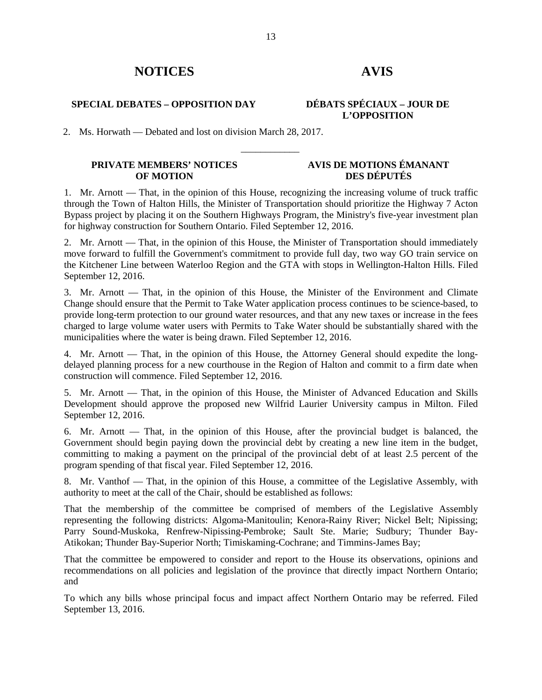# **NOTICES AVIS**

## **SPECIAL DEBATES – OPPOSITION DAY DÉBATS SPÉCIAUX – JOUR DE**

# **L'OPPOSITION**

2. Ms. Horwath — Debated and lost on division March 28, 2017.

#### **PRIVATE MEMBERS' NOTICES OF MOTION**

### **AVIS DE MOTIONS ÉMANANT DES DÉPUTÉS**

1. Mr. Arnott — That, in the opinion of this House, recognizing the increasing volume of truck traffic through the Town of Halton Hills, the Minister of Transportation should prioritize the Highway 7 Acton Bypass project by placing it on the Southern Highways Program, the Ministry's five-year investment plan for highway construction for Southern Ontario. Filed September 12, 2016.

\_\_\_\_\_\_\_\_\_\_\_\_

2. Mr. Arnott — That, in the opinion of this House, the Minister of Transportation should immediately move forward to fulfill the Government's commitment to provide full day, two way GO train service on the Kitchener Line between Waterloo Region and the GTA with stops in Wellington-Halton Hills. Filed September 12, 2016.

3. Mr. Arnott — That, in the opinion of this House, the Minister of the Environment and Climate Change should ensure that the Permit to Take Water application process continues to be science-based, to provide long-term protection to our ground water resources, and that any new taxes or increase in the fees charged to large volume water users with Permits to Take Water should be substantially shared with the municipalities where the water is being drawn. Filed September 12, 2016.

4. Mr. Arnott — That, in the opinion of this House, the Attorney General should expedite the longdelayed planning process for a new courthouse in the Region of Halton and commit to a firm date when construction will commence. Filed September 12, 2016.

5. Mr. Arnott — That, in the opinion of this House, the Minister of Advanced Education and Skills Development should approve the proposed new Wilfrid Laurier University campus in Milton. Filed September 12, 2016.

6. Mr. Arnott — That, in the opinion of this House, after the provincial budget is balanced, the Government should begin paying down the provincial debt by creating a new line item in the budget, committing to making a payment on the principal of the provincial debt of at least 2.5 percent of the program spending of that fiscal year. Filed September 12, 2016.

8. Mr. Vanthof — That, in the opinion of this House, a committee of the Legislative Assembly, with authority to meet at the call of the Chair, should be established as follows:

That the membership of the committee be comprised of members of the Legislative Assembly representing the following districts: Algoma-Manitoulin; Kenora-Rainy River; Nickel Belt; Nipissing; Parry Sound-Muskoka, Renfrew-Nipissing-Pembroke; Sault Ste. Marie; Sudbury; Thunder Bay-Atikokan; Thunder Bay-Superior North; Timiskaming-Cochrane; and Timmins-James Bay;

That the committee be empowered to consider and report to the House its observations, opinions and recommendations on all policies and legislation of the province that directly impact Northern Ontario; and

To which any bills whose principal focus and impact affect Northern Ontario may be referred. Filed September 13, 2016.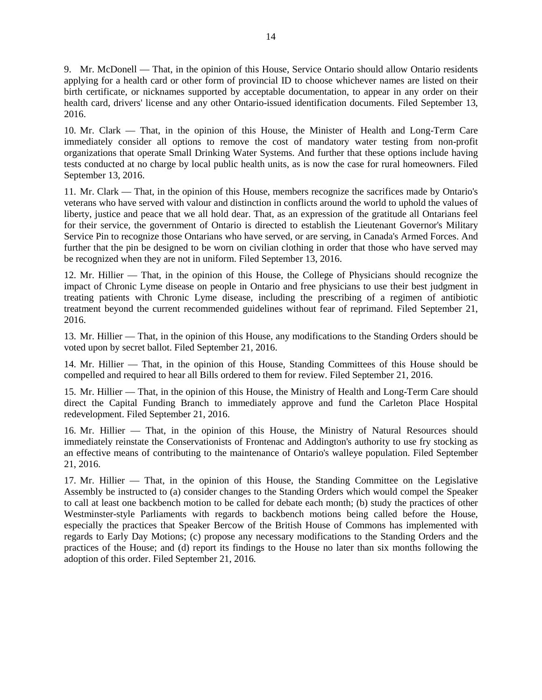9. Mr. McDonell — That, in the opinion of this House, Service Ontario should allow Ontario residents applying for a health card or other form of provincial ID to choose whichever names are listed on their birth certificate, or nicknames supported by acceptable documentation, to appear in any order on their health card, drivers' license and any other Ontario-issued identification documents. Filed September 13, 2016.

10. Mr. Clark — That, in the opinion of this House, the Minister of Health and Long-Term Care immediately consider all options to remove the cost of mandatory water testing from non-profit organizations that operate Small Drinking Water Systems. And further that these options include having tests conducted at no charge by local public health units, as is now the case for rural homeowners. Filed September 13, 2016.

11. Mr. Clark — That, in the opinion of this House, members recognize the sacrifices made by Ontario's veterans who have served with valour and distinction in conflicts around the world to uphold the values of liberty, justice and peace that we all hold dear. That, as an expression of the gratitude all Ontarians feel for their service, the government of Ontario is directed to establish the Lieutenant Governor's Military Service Pin to recognize those Ontarians who have served, or are serving, in Canada's Armed Forces. And further that the pin be designed to be worn on civilian clothing in order that those who have served may be recognized when they are not in uniform. Filed September 13, 2016.

12. Mr. Hillier — That, in the opinion of this House, the College of Physicians should recognize the impact of Chronic Lyme disease on people in Ontario and free physicians to use their best judgment in treating patients with Chronic Lyme disease, including the prescribing of a regimen of antibiotic treatment beyond the current recommended guidelines without fear of reprimand. Filed September 21, 2016.

13. Mr. Hillier — That, in the opinion of this House, any modifications to the Standing Orders should be voted upon by secret ballot. Filed September 21, 2016.

14. Mr. Hillier — That, in the opinion of this House, Standing Committees of this House should be compelled and required to hear all Bills ordered to them for review. Filed September 21, 2016.

15. Mr. Hillier — That, in the opinion of this House, the Ministry of Health and Long-Term Care should direct the Capital Funding Branch to immediately approve and fund the Carleton Place Hospital redevelopment. Filed September 21, 2016.

16. Mr. Hillier — That, in the opinion of this House, the Ministry of Natural Resources should immediately reinstate the Conservationists of Frontenac and Addington's authority to use fry stocking as an effective means of contributing to the maintenance of Ontario's walleye population. Filed September 21, 2016.

17. Mr. Hillier — That, in the opinion of this House, the Standing Committee on the Legislative Assembly be instructed to (a) consider changes to the Standing Orders which would compel the Speaker to call at least one backbench motion to be called for debate each month; (b) study the practices of other Westminster-style Parliaments with regards to backbench motions being called before the House, especially the practices that Speaker Bercow of the British House of Commons has implemented with regards to Early Day Motions; (c) propose any necessary modifications to the Standing Orders and the practices of the House; and (d) report its findings to the House no later than six months following the adoption of this order. Filed September 21, 2016.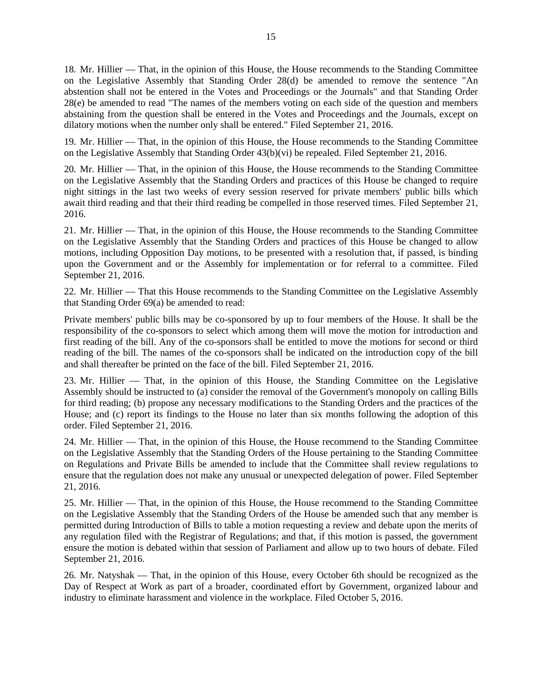18. Mr. Hillier — That, in the opinion of this House, the House recommends to the Standing Committee on the Legislative Assembly that Standing Order 28(d) be amended to remove the sentence "An abstention shall not be entered in the Votes and Proceedings or the Journals" and that Standing Order 28(e) be amended to read "The names of the members voting on each side of the question and members abstaining from the question shall be entered in the Votes and Proceedings and the Journals, except on dilatory motions when the number only shall be entered." Filed September 21, 2016.

19. Mr. Hillier — That, in the opinion of this House, the House recommends to the Standing Committee on the Legislative Assembly that Standing Order 43(b)(vi) be repealed. Filed September 21, 2016.

20. Mr. Hillier — That, in the opinion of this House, the House recommends to the Standing Committee on the Legislative Assembly that the Standing Orders and practices of this House be changed to require night sittings in the last two weeks of every session reserved for private members' public bills which await third reading and that their third reading be compelled in those reserved times. Filed September 21, 2016.

21. Mr. Hillier — That, in the opinion of this House, the House recommends to the Standing Committee on the Legislative Assembly that the Standing Orders and practices of this House be changed to allow motions, including Opposition Day motions, to be presented with a resolution that, if passed, is binding upon the Government and or the Assembly for implementation or for referral to a committee. Filed September 21, 2016.

22. Mr. Hillier — That this House recommends to the Standing Committee on the Legislative Assembly that Standing Order 69(a) be amended to read:

Private members' public bills may be co-sponsored by up to four members of the House. It shall be the responsibility of the co-sponsors to select which among them will move the motion for introduction and first reading of the bill. Any of the co-sponsors shall be entitled to move the motions for second or third reading of the bill. The names of the co-sponsors shall be indicated on the introduction copy of the bill and shall thereafter be printed on the face of the bill. Filed September 21, 2016.

23. Mr. Hillier — That, in the opinion of this House, the Standing Committee on the Legislative Assembly should be instructed to (a) consider the removal of the Government's monopoly on calling Bills for third reading; (b) propose any necessary modifications to the Standing Orders and the practices of the House; and (c) report its findings to the House no later than six months following the adoption of this order. Filed September 21, 2016.

24. Mr. Hillier — That, in the opinion of this House, the House recommend to the Standing Committee on the Legislative Assembly that the Standing Orders of the House pertaining to the Standing Committee on Regulations and Private Bills be amended to include that the Committee shall review regulations to ensure that the regulation does not make any unusual or unexpected delegation of power. Filed September 21, 2016.

25. Mr. Hillier — That, in the opinion of this House, the House recommend to the Standing Committee on the Legislative Assembly that the Standing Orders of the House be amended such that any member is permitted during Introduction of Bills to table a motion requesting a review and debate upon the merits of any regulation filed with the Registrar of Regulations; and that, if this motion is passed, the government ensure the motion is debated within that session of Parliament and allow up to two hours of debate. Filed September 21, 2016.

26. Mr. Natyshak — That, in the opinion of this House, every October 6th should be recognized as the Day of Respect at Work as part of a broader, coordinated effort by Government, organized labour and industry to eliminate harassment and violence in the workplace. Filed October 5, 2016.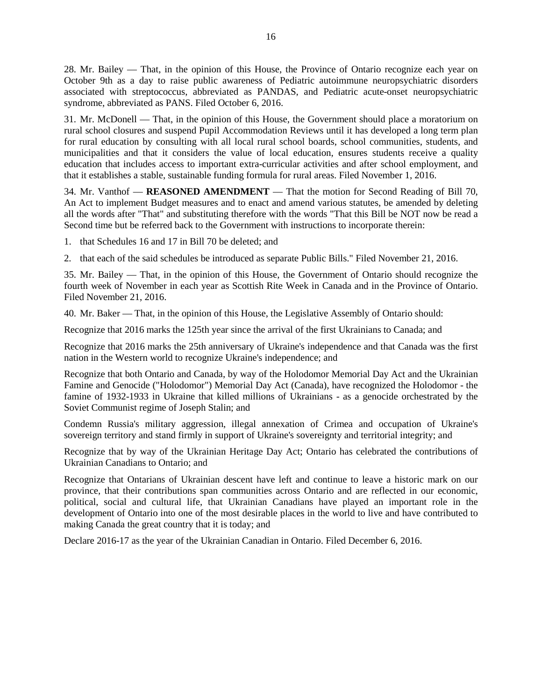28. Mr. Bailey — That, in the opinion of this House, the Province of Ontario recognize each year on October 9th as a day to raise public awareness of Pediatric autoimmune neuropsychiatric disorders associated with streptococcus, abbreviated as PANDAS, and Pediatric acute-onset neuropsychiatric syndrome, abbreviated as PANS. Filed October 6, 2016.

31. Mr. McDonell — That, in the opinion of this House, the Government should place a moratorium on rural school closures and suspend Pupil Accommodation Reviews until it has developed a long term plan for rural education by consulting with all local rural school boards, school communities, students, and municipalities and that it considers the value of local education, ensures students receive a quality education that includes access to important extra-curricular activities and after school employment, and that it establishes a stable, sustainable funding formula for rural areas. Filed November 1, 2016.

34. Mr. Vanthof — **REASONED AMENDMENT** — That the motion for Second Reading of Bill 70, An Act to implement Budget measures and to enact and amend various statutes, be amended by deleting all the words after "That" and substituting therefore with the words "That this Bill be NOT now be read a Second time but be referred back to the Government with instructions to incorporate therein:

1. that Schedules 16 and 17 in Bill 70 be deleted; and

2. that each of the said schedules be introduced as separate Public Bills." Filed November 21, 2016.

35. Mr. Bailey — That, in the opinion of this House, the Government of Ontario should recognize the fourth week of November in each year as Scottish Rite Week in Canada and in the Province of Ontario. Filed November 21, 2016.

40. Mr. Baker — That, in the opinion of this House, the Legislative Assembly of Ontario should:

Recognize that 2016 marks the 125th year since the arrival of the first Ukrainians to Canada; and

Recognize that 2016 marks the 25th anniversary of Ukraine's independence and that Canada was the first nation in the Western world to recognize Ukraine's independence; and

Recognize that both Ontario and Canada, by way of the Holodomor Memorial Day Act and the Ukrainian Famine and Genocide ("Holodomor") Memorial Day Act (Canada), have recognized the Holodomor - the famine of 1932-1933 in Ukraine that killed millions of Ukrainians - as a genocide orchestrated by the Soviet Communist regime of Joseph Stalin; and

Condemn Russia's military aggression, illegal annexation of Crimea and occupation of Ukraine's sovereign territory and stand firmly in support of Ukraine's sovereignty and territorial integrity; and

Recognize that by way of the Ukrainian Heritage Day Act; Ontario has celebrated the contributions of Ukrainian Canadians to Ontario; and

Recognize that Ontarians of Ukrainian descent have left and continue to leave a historic mark on our province, that their contributions span communities across Ontario and are reflected in our economic, political, social and cultural life, that Ukrainian Canadians have played an important role in the development of Ontario into one of the most desirable places in the world to live and have contributed to making Canada the great country that it is today; and

Declare 2016-17 as the year of the Ukrainian Canadian in Ontario. Filed December 6, 2016.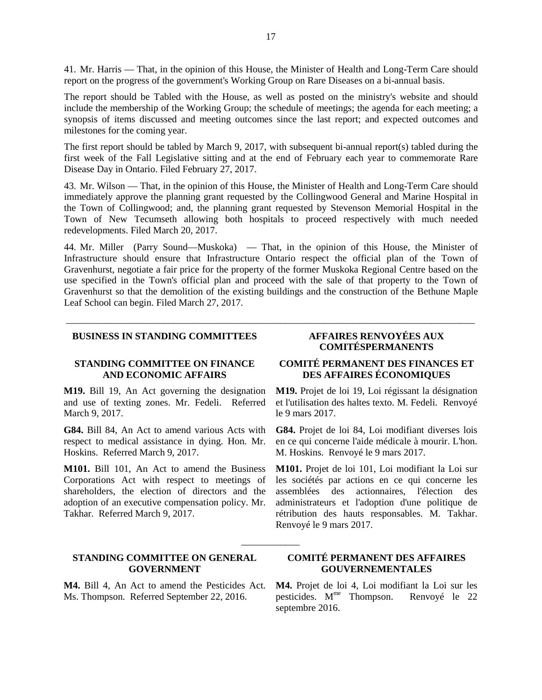41. Mr. Harris — That, in the opinion of this House, the Minister of Health and Long-Term Care should report on the progress of the government's Working Group on Rare Diseases on a bi-annual basis.

The report should be Tabled with the House, as well as posted on the ministry's website and should include the membership of the Working Group; the schedule of meetings; the agenda for each meeting; a synopsis of items discussed and meeting outcomes since the last report; and expected outcomes and milestones for the coming year.

The first report should be tabled by March 9, 2017, with subsequent bi-annual report(s) tabled during the first week of the Fall Legislative sitting and at the end of February each year to commemorate Rare Disease Day in Ontario. Filed February 27, 2017.

43. Mr. Wilson — That, in the opinion of this House, the Minister of Health and Long-Term Care should immediately approve the planning grant requested by the Collingwood General and Marine Hospital in the Town of Collingwood; and, the planning grant requested by Stevenson Memorial Hospital in the Town of New Tecumseth allowing both hospitals to proceed respectively with much needed redevelopments. Filed March 20, 2017.

44. Mr. Miller (Parry Sound—Muskoka) — That, in the opinion of this House, the Minister of Infrastructure should ensure that Infrastructure Ontario respect the official plan of the Town of Gravenhurst, negotiate a fair price for the property of the former Muskoka Regional Centre based on the use specified in the Town's official plan and proceed with the sale of that property to the Town of Gravenhurst so that the demolition of the existing buildings and the construction of the Bethune Maple Leaf School can begin. Filed March 27, 2017.

\_\_\_\_\_\_\_\_\_\_\_\_\_\_\_\_\_\_\_\_\_\_\_\_\_\_\_\_\_\_\_\_\_\_\_\_\_\_\_\_\_\_\_\_\_\_\_\_\_\_\_\_\_\_\_\_\_\_\_\_\_\_\_\_\_\_\_\_\_\_\_\_\_\_\_\_\_\_\_\_\_\_\_\_

\_\_\_\_\_\_\_\_\_\_\_\_

### **BUSINESS IN STANDING COMMITTEES AFFAIRES RENVOYÉES AUX**

#### **STANDING COMMITTEE ON FINANCE AND ECONOMIC AFFAIRS**

**M19.** Bill 19, An Act governing the designation and use of texting zones. Mr. Fedeli. Referred March 9, 2017.

**G84.** Bill 84, An Act to amend various Acts with respect to medical assistance in dying. Hon. Mr. Hoskins. Referred March 9, 2017.

**M101.** Bill 101, An Act to amend the Business Corporations Act with respect to meetings of shareholders, the election of directors and the adoption of an executive compensation policy. Mr. Takhar. Referred March 9, 2017.

#### **STANDING COMMITTEE ON GENERAL GOVERNMENT**

**M4.** Bill 4, An Act to amend the Pesticides Act. Ms. Thompson. Referred September 22, 2016.

# **COMITÉSPERMANENTS**

### **COMITÉ PERMANENT DES FINANCES ET DES AFFAIRES ÉCONOMIQUES**

**M19.** Projet de loi 19, Loi régissant la désignation et l'utilisation des haltes texto. M. Fedeli. Renvoyé le 9 mars 2017.

**G84.** Projet de loi 84, Loi modifiant diverses lois en ce qui concerne l'aide médicale à mourir. L'hon. M. Hoskins. Renvoyé le 9 mars 2017.

**M101.** Projet de loi 101, Loi modifiant la Loi sur les sociétés par actions en ce qui concerne les assemblées des actionnaires, l'élection des administrateurs et l'adoption d'une politique de rétribution des hauts responsables. M. Takhar. Renvoyé le 9 mars 2017.

### **COMITÉ PERMANENT DES AFFAIRES GOUVERNEMENTALES**

**M4.** Projet de loi 4, Loi modifiant la Loi sur les pesticides. Mme Thompson. Renvoyé le 22 septembre 2016.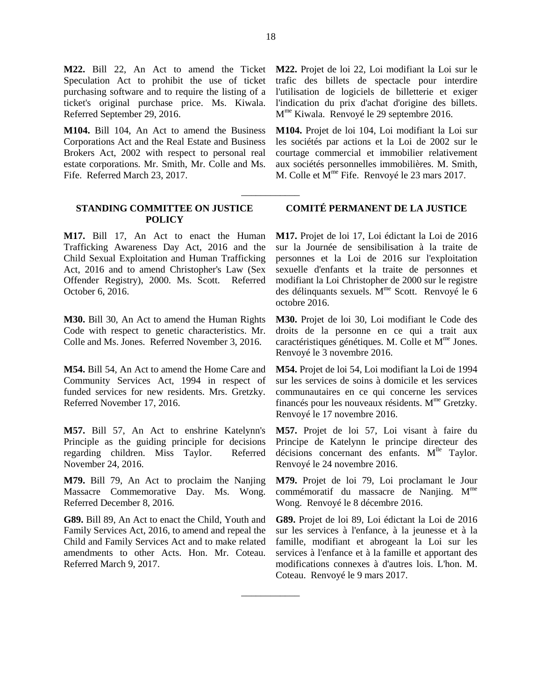Speculation Act to prohibit the use of ticket purchasing software and to require the listing of a ticket's original purchase price. Ms. Kiwala. Referred September 29, 2016.

**M104.** Bill 104, An Act to amend the Business Corporations Act and the Real Estate and Business Brokers Act, 2002 with respect to personal real estate corporations. Mr. Smith, Mr. Colle and Ms. Fife. Referred March 23, 2017.

#### **STANDING COMMITTEE ON JUSTICE POLICY**

**M17.** Bill 17, An Act to enact the Human Trafficking Awareness Day Act, 2016 and the Child Sexual Exploitation and Human Trafficking Act, 2016 and to amend Christopher's Law (Sex Offender Registry), 2000. Ms. Scott. Referred October 6, 2016.

**M30.** Bill 30, An Act to amend the Human Rights Code with respect to genetic characteristics. Mr. Colle and Ms. Jones. Referred November 3, 2016.

**M54.** Bill 54, An Act to amend the Home Care and Community Services Act, 1994 in respect of funded services for new residents. Mrs. Gretzky. Referred November 17, 2016.

**M57.** Bill 57, An Act to enshrine Katelynn's Principle as the guiding principle for decisions regarding children. Miss Taylor. Referred November 24, 2016.

**M79.** Bill 79, An Act to proclaim the Nanjing Massacre Commemorative Day. Ms. Wong. Referred December 8, 2016.

**G89.** Bill 89, An Act to enact the Child, Youth and Family Services Act, 2016, to amend and repeal the Child and Family Services Act and to make related amendments to other Acts. Hon. Mr. Coteau. Referred March 9, 2017.

**M22.** Bill 22, An Act to amend the Ticket **M22.** Projet de loi 22, Loi modifiant la Loi sur le trafic des billets de spectacle pour interdire l'utilisation de logiciels de billetterie et exiger l'indication du prix d'achat d'origine des billets. Mme Kiwala. Renvoyé le 29 septembre 2016.

> **M104.** Projet de loi 104, Loi modifiant la Loi sur les sociétés par actions et la Loi de 2002 sur le courtage commercial et immobilier relativement aux sociétés personnelles immobilières. M. Smith, M. Colle et M<sup>me</sup> Fife. Renvoyé le 23 mars 2017.

#### **COMITÉ PERMANENT DE LA JUSTICE**

**M17.** Projet de loi 17, Loi édictant la Loi de 2016 sur la Journée de sensibilisation à la traite de personnes et la Loi de 2016 sur l'exploitation sexuelle d'enfants et la traite de personnes et modifiant la Loi Christopher de 2000 sur le registre des délinquants sexuels.  $M<sup>me</sup>$  Scott. Renvoyé le 6 octobre 2016.

**M30.** Projet de loi 30, Loi modifiant le Code des droits de la personne en ce qui a trait aux  $\alpha$ ractéristiques génétiques. M. Colle et  $M^{\text{me}}$  Jones. Renvoyé le 3 novembre 2016.

**M54.** Projet de loi 54, Loi modifiant la Loi de 1994 sur les services de soins à domicile et les services communautaires en ce qui concerne les services financés pour les nouveaux résidents.  $M<sup>me</sup>$  Gretzky. Renvoyé le 17 novembre 2016.

**M57.** Projet de loi 57, Loi visant à faire du Principe de Katelynn le principe directeur des décisions concernant des enfants. M<sup>lle</sup> Taylor. Renvoyé le 24 novembre 2016.

**M79.** Projet de loi 79, Loi proclamant le Jour commémoratif du massacre de Nanjing. M<sup>me</sup> Wong. Renvoyé le 8 décembre 2016.

**G89.** Projet de loi 89, Loi édictant la Loi de 2016 sur les services à l'enfance, à la jeunesse et à la famille, modifiant et abrogeant la Loi sur les services à l'enfance et à la famille et apportant des modifications connexes à d'autres lois. L'hon. M. Coteau. Renvoyé le 9 mars 2017.

\_\_\_\_\_\_\_\_\_\_\_\_

\_\_\_\_\_\_\_\_\_\_\_\_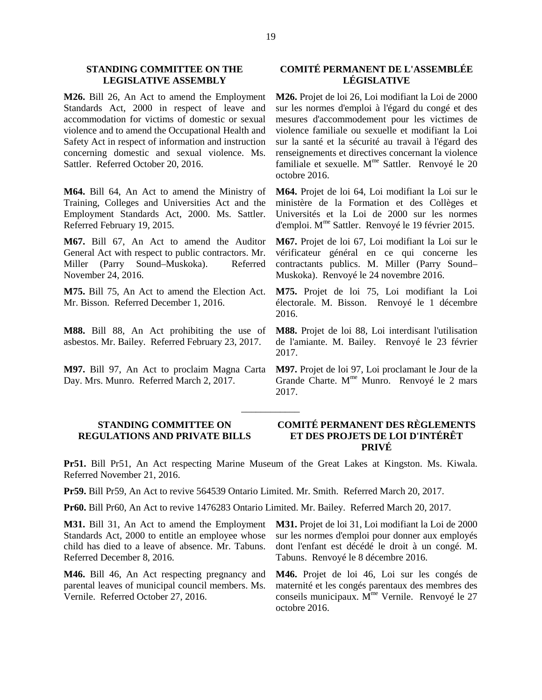#### **STANDING COMMITTEE ON THE LEGISLATIVE ASSEMBLY**

**M26.** Bill 26, An Act to amend the Employment Standards Act, 2000 in respect of leave and accommodation for victims of domestic or sexual violence and to amend the Occupational Health and Safety Act in respect of information and instruction concerning domestic and sexual violence. Ms. Sattler. Referred October 20, 2016.

**M64.** Bill 64, An Act to amend the Ministry of Training, Colleges and Universities Act and the Employment Standards Act, 2000. Ms. Sattler. Referred February 19, 2015.

**M67.** Bill 67, An Act to amend the Auditor General Act with respect to public contractors. Mr. Miller (Parry Sound–Muskoka). Referred November 24, 2016.

**M75.** Bill 75, An Act to amend the Election Act. Mr. Bisson. Referred December 1, 2016.

**M88.** Bill 88, An Act prohibiting the use of asbestos. Mr. Bailey. Referred February 23, 2017.

**M97.** Bill 97, An Act to proclaim Magna Carta Day. Mrs. Munro. Referred March 2, 2017.

### **COMITÉ PERMANENT DE L'ASSEMBLÉE LÉGISLATIVE**

**M26.** Projet de loi 26, Loi modifiant la Loi de 2000 sur les normes d'emploi à l'égard du congé et des mesures d'accommodement pour les victimes de violence familiale ou sexuelle et modifiant la Loi sur la santé et la sécurité au travail à l'égard des renseignements et directives concernant la violence familiale et sexuelle. M<sup>me</sup> Sattler. Renvoyé le 20 octobre 2016.

**M64.** Projet de loi 64, Loi modifiant la Loi sur le ministère de la Formation et des Collèges et Universités et la Loi de 2000 sur les normes d'emploi. Mme Sattler. Renvoyé le 19 février 2015.

**M67.** Projet de loi 67, Loi modifiant la Loi sur le vérificateur général en ce qui concerne les contractants publics. M. Miller (Parry Sound– Muskoka). Renvoyé le 24 novembre 2016.

**M75.** Projet de loi 75, Loi modifiant la Loi électorale. M. Bisson. Renvoyé le 1 décembre 2016.

**M88.** Projet de loi 88, Loi interdisant l'utilisation de l'amiante. M. Bailey. Renvoyé le 23 février 2017.

**M97.** Projet de loi 97, Loi proclamant le Jour de la Grande Charte.  $M^{\text{me}}$  Munro. Renvoyé le 2 mars 2017.

### **STANDING COMMITTEE ON REGULATIONS AND PRIVATE BILLS**

#### **COMITÉ PERMANENT DES RÈGLEMENTS ET DES PROJETS DE LOI D'INTÉRÊT PRIVÉ**

**Pr51.** Bill Pr51, An Act respecting Marine Museum of the Great Lakes at Kingston. Ms. Kiwala. Referred November 21, 2016.

\_\_\_\_\_\_\_\_\_\_\_\_

**Pr59.** Bill Pr59, An Act to revive 564539 Ontario Limited. Mr. Smith. Referred March 20, 2017.

**Pr60.** Bill Pr60, An Act to revive 1476283 Ontario Limited. Mr. Bailey. Referred March 20, 2017.

**M31.** Bill 31, An Act to amend the Employment Standards Act, 2000 to entitle an employee whose child has died to a leave of absence. Mr. Tabuns. Referred December 8, 2016.

**M46.** Bill 46, An Act respecting pregnancy and parental leaves of municipal council members. Ms. Vernile. Referred October 27, 2016.

**M31.** Projet de loi 31, Loi modifiant la Loi de 2000 sur les normes d'emploi pour donner aux employés dont l'enfant est décédé le droit à un congé. M. Tabuns. Renvoyé le 8 décembre 2016.

**M46.** Projet de loi 46, Loi sur les congés de maternité et les congés parentaux des membres des conseils municipaux.  $M^{\text{me}}$  Vernile. Renvoyé le 27 octobre 2016.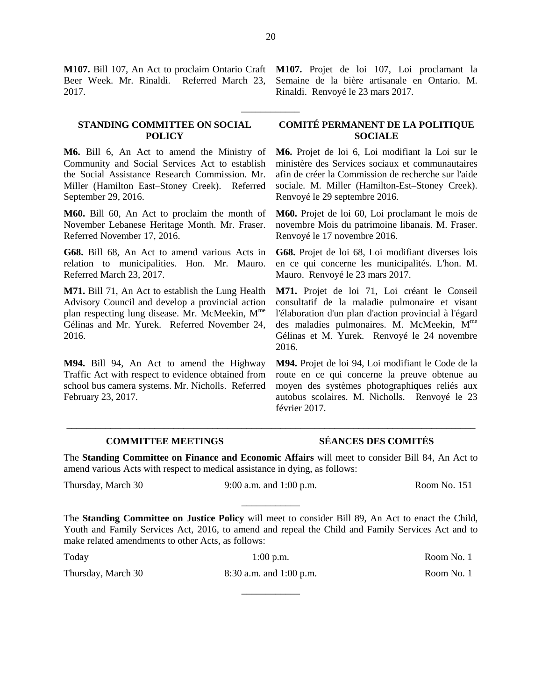**M107.** Bill 107, An Act to proclaim Ontario Craft **M107.** Projet de loi 107, Loi proclamant la Beer Week. Mr. Rinaldi. Referred March 23, 2017.

#### **STANDING COMMITTEE ON SOCIAL POLICY**

**M6.** Bill 6, An Act to amend the Ministry of Community and Social Services Act to establish the Social Assistance Research Commission. Mr. Miller (Hamilton East–Stoney Creek). Referred September 29, 2016.

**M60.** Bill 60, An Act to proclaim the month of November Lebanese Heritage Month. Mr. Fraser. Referred November 17, 2016.

**G68.** Bill 68, An Act to amend various Acts in relation to municipalities. Hon. Mr. Mauro. Referred March 23, 2017.

**M71.** Bill 71, An Act to establish the Lung Health Advisory Council and develop a provincial action plan respecting lung disease. Mr. McMeekin, M<sup>me</sup> Gélinas and Mr. Yurek. Referred November 24, 2016.

**M94.** Bill 94, An Act to amend the Highway Traffic Act with respect to evidence obtained from school bus camera systems. Mr. Nicholls. Referred February 23, 2017.

Semaine de la bière artisanale en Ontario. M. Rinaldi. Renvoyé le 23 mars 2017.

### **COMITÉ PERMANENT DE LA POLITIQUE SOCIALE**

**M6.** Projet de loi 6, Loi modifiant la Loi sur le ministère des Services sociaux et communautaires afin de créer la Commission de recherche sur l'aide sociale. M. Miller (Hamilton-Est–Stoney Creek). Renvoyé le 29 septembre 2016.

**M60.** Projet de loi 60, Loi proclamant le mois de novembre Mois du patrimoine libanais. M. Fraser. Renvoyé le 17 novembre 2016.

**G68.** Projet de loi 68, Loi modifiant diverses lois en ce qui concerne les municipalités. L'hon. M. Mauro. Renvoyé le 23 mars 2017.

**M71.** Projet de loi 71, Loi créant le Conseil consultatif de la maladie pulmonaire et visant l'élaboration d'un plan d'action provincial à l'égard des maladies pulmonaires. M. McMeekin, M<sup>me</sup> Gélinas et M. Yurek. Renvoyé le 24 novembre 2016.

**M94.** Projet de loi 94, Loi modifiant le Code de la route en ce qui concerne la preuve obtenue au moyen des systèmes photographiques reliés aux autobus scolaires. M. Nicholls. Renvoyé le 23 février 2017.

### **COMMITTEE MEETINGS SÉANCES DES COMITÉS**

The **Standing Committee on Finance and Economic Affairs** will meet to consider Bill 84, An Act to amend various Acts with respect to medical assistance in dying, as follows:

\_\_\_\_\_\_\_\_\_\_\_\_\_\_\_\_\_\_\_\_\_\_\_\_\_\_\_\_\_\_\_\_\_\_\_\_\_\_\_\_\_\_\_\_\_\_\_\_\_\_\_\_\_\_\_\_\_\_\_\_\_\_\_\_\_\_\_\_\_\_\_\_\_\_\_\_\_\_\_\_\_\_\_\_

Thursday, March 30 9:00 a.m. and 1:00 p.m. Room No. 151

The **Standing Committee on Justice Policy** will meet to consider Bill 89, An Act to enact the Child, Youth and Family Services Act, 2016, to amend and repeal the Child and Family Services Act and to make related amendments to other Acts, as follows:

\_\_\_\_\_\_\_\_\_\_\_\_

Thursday, March 30 8:30 a.m. and 1:00 p.m. Room No. 1

\_\_\_\_\_\_\_\_\_\_\_\_

Today 1:00 p.m. Room No. 1

\_\_\_\_\_\_\_\_\_\_\_\_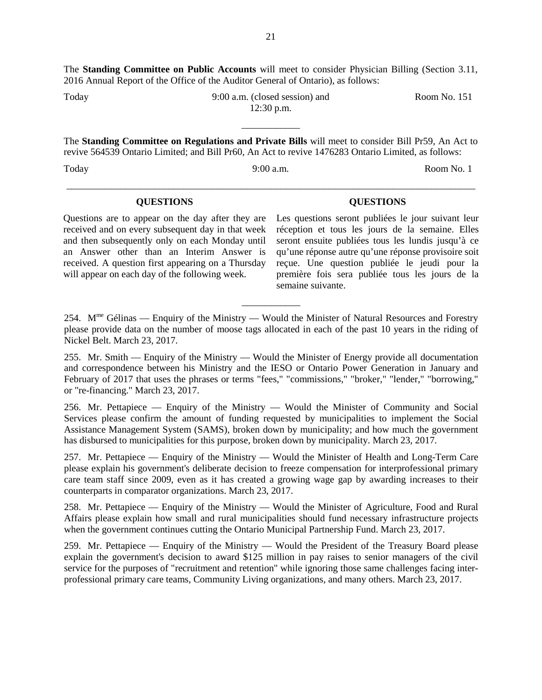The **Standing Committee on Public Accounts** will meet to consider Physician Billing (Section 3.11, 2016 Annual Report of the Office of the Auditor General of Ontario), as follows:

Today 9:00 a.m. (closed session) and 12:30 p.m.

\_\_\_\_\_\_\_\_\_\_\_\_ The **Standing Committee on Regulations and Private Bills** will meet to consider Bill Pr59, An Act to revive 564539 Ontario Limited; and Bill Pr60, An Act to revive 1476283 Ontario Limited, as follows:

Today 9:00 a.m. Room No. 1

#### **QUESTIONS QUESTIONS**

Questions are to appear on the day after they are received and on every subsequent day in that week and then subsequently only on each Monday until an Answer other than an Interim Answer is received. A question first appearing on a Thursday will appear on each day of the following week.

Les questions seront publiées le jour suivant leur réception et tous les jours de la semaine. Elles seront ensuite publiées tous les lundis jusqu'à ce qu'une réponse autre qu'une réponse provisoire soit reçue. Une question publiée le jeudi pour la première fois sera publiée tous les jours de la semaine suivante.

254.  $M^{\text{me}}$  Gélinas — Enquiry of the Ministry — Would the Minister of Natural Resources and Forestry please provide data on the number of moose tags allocated in each of the past 10 years in the riding of Nickel Belt. March 23, 2017.

\_\_\_\_\_\_\_\_\_\_\_\_

255. Mr. Smith — Enquiry of the Ministry — Would the Minister of Energy provide all documentation and correspondence between his Ministry and the IESO or Ontario Power Generation in January and February of 2017 that uses the phrases or terms "fees," "commissions," "broker," "lender," "borrowing," or "re-financing." March 23, 2017.

256. Mr. Pettapiece — Enquiry of the Ministry — Would the Minister of Community and Social Services please confirm the amount of funding requested by municipalities to implement the Social Assistance Management System (SAMS), broken down by municipality; and how much the government has disbursed to municipalities for this purpose, broken down by municipality. March 23, 2017.

257. Mr. Pettapiece — Enquiry of the Ministry — Would the Minister of Health and Long-Term Care please explain his government's deliberate decision to freeze compensation for interprofessional primary care team staff since 2009, even as it has created a growing wage gap by awarding increases to their counterparts in comparator organizations. March 23, 2017.

258. Mr. Pettapiece — Enquiry of the Ministry — Would the Minister of Agriculture, Food and Rural Affairs please explain how small and rural municipalities should fund necessary infrastructure projects when the government continues cutting the Ontario Municipal Partnership Fund. March 23, 2017.

259. Mr. Pettapiece — Enquiry of the Ministry — Would the President of the Treasury Board please explain the government's decision to award \$125 million in pay raises to senior managers of the civil service for the purposes of "recruitment and retention" while ignoring those same challenges facing interprofessional primary care teams, Community Living organizations, and many others. March 23, 2017.

# \_\_\_\_\_\_\_\_\_\_\_\_\_\_\_\_\_\_\_\_\_\_\_\_\_\_\_\_\_\_\_\_\_\_\_\_\_\_\_\_\_\_\_\_\_\_\_\_\_\_\_\_\_\_\_\_\_\_\_\_\_\_\_\_\_\_\_\_\_\_\_\_\_\_\_\_\_\_\_\_\_\_\_\_

Room No. 151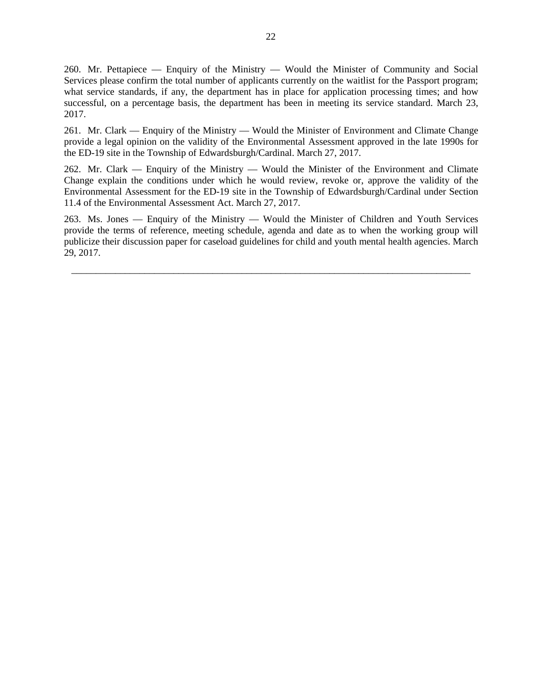260. Mr. Pettapiece — Enquiry of the Ministry — Would the Minister of Community and Social Services please confirm the total number of applicants currently on the waitlist for the Passport program; what service standards, if any, the department has in place for application processing times; and how successful, on a percentage basis, the department has been in meeting its service standard. March 23, 2017.

261. Mr. Clark — Enquiry of the Ministry — Would the Minister of Environment and Climate Change provide a legal opinion on the validity of the Environmental Assessment approved in the late 1990s for the ED-19 site in the Township of Edwardsburgh/Cardinal. March 27, 2017.

262. Mr. Clark — Enquiry of the Ministry — Would the Minister of the Environment and Climate Change explain the conditions under which he would review, revoke or, approve the validity of the Environmental Assessment for the ED-19 site in the Township of Edwardsburgh/Cardinal under Section 11.4 of the Environmental Assessment Act. March 27, 2017.

263. Ms. Jones — Enquiry of the Ministry — Would the Minister of Children and Youth Services provide the terms of reference, meeting schedule, agenda and date as to when the working group will publicize their discussion paper for caseload guidelines for child and youth mental health agencies. March 29, 2017.

\_\_\_\_\_\_\_\_\_\_\_\_\_\_\_\_\_\_\_\_\_\_\_\_\_\_\_\_\_\_\_\_\_\_\_\_\_\_\_\_\_\_\_\_\_\_\_\_\_\_\_\_\_\_\_\_\_\_\_\_\_\_\_\_\_\_\_\_\_\_\_\_\_\_\_\_\_\_\_\_\_\_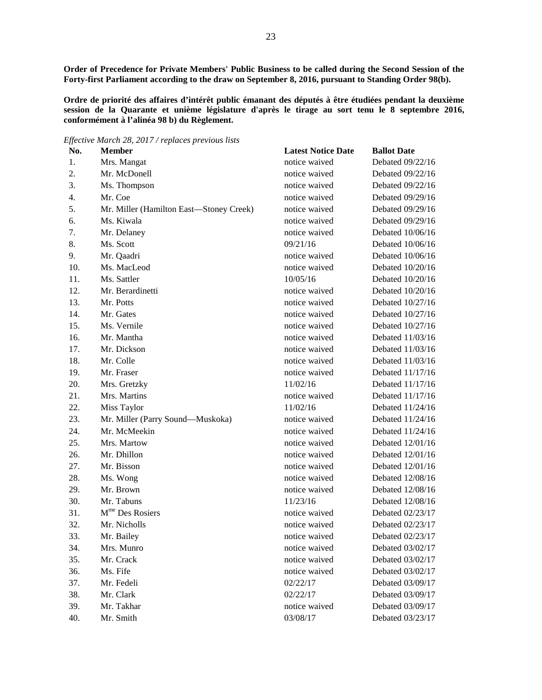**Order of Precedence for Private Members' Public Business to be called during the Second Session of the Forty-first Parliament according to the draw on September 8, 2016, pursuant to Standing Order 98(b).**

**Ordre de priorité des affaires d'intérêt public émanant des députés à être étudiées pendant la deuxième**  session de la Quarante et unième législature d'après le tirage au sort tenu le 8 septembre 2016, **conformément à l'alinéa 98 b) du Règlement.**

*Effective March 28, 2017 / replaces previous lists*

| No. | <b>Member</b>                           | <b>Latest Notice Date</b> | <b>Ballot Date</b> |
|-----|-----------------------------------------|---------------------------|--------------------|
| 1.  | Mrs. Mangat                             | notice waived             | Debated 09/22/16   |
| 2.  | Mr. McDonell                            | notice waived             | Debated 09/22/16   |
| 3.  | Ms. Thompson                            | notice waived             | Debated 09/22/16   |
| 4.  | Mr. Coe                                 | notice waived             | Debated 09/29/16   |
| 5.  | Mr. Miller (Hamilton East-Stoney Creek) | notice waived             | Debated 09/29/16   |
| 6.  | Ms. Kiwala                              | notice waived             | Debated 09/29/16   |
| 7.  | Mr. Delaney                             | notice waived             | Debated 10/06/16   |
| 8.  | Ms. Scott                               | 09/21/16                  | Debated 10/06/16   |
| 9.  | Mr. Qaadri                              | notice waived             | Debated 10/06/16   |
| 10. | Ms. MacLeod                             | notice waived             | Debated 10/20/16   |
| 11. | Ms. Sattler                             | 10/05/16                  | Debated 10/20/16   |
| 12. | Mr. Berardinetti                        | notice waived             | Debated 10/20/16   |
| 13. | Mr. Potts                               | notice waived             | Debated 10/27/16   |
| 14. | Mr. Gates                               | notice waived             | Debated 10/27/16   |
| 15. | Ms. Vernile                             | notice waived             | Debated 10/27/16   |
| 16. | Mr. Mantha                              | notice waived             | Debated 11/03/16   |
| 17. | Mr. Dickson                             | notice waived             | Debated 11/03/16   |
| 18. | Mr. Colle                               | notice waived             | Debated 11/03/16   |
| 19. | Mr. Fraser                              | notice waived             | Debated 11/17/16   |
| 20. | Mrs. Gretzky                            | 11/02/16                  | Debated 11/17/16   |
| 21. | Mrs. Martins                            | notice waived             | Debated 11/17/16   |
| 22. | Miss Taylor                             | 11/02/16                  | Debated 11/24/16   |
| 23. | Mr. Miller (Parry Sound-Muskoka)        | notice waived             | Debated 11/24/16   |
| 24. | Mr. McMeekin                            | notice waived             | Debated 11/24/16   |
| 25. | Mrs. Martow                             | notice waived             | Debated 12/01/16   |
| 26. | Mr. Dhillon                             | notice waived             | Debated 12/01/16   |
| 27. | Mr. Bisson                              | notice waived             | Debated 12/01/16   |
| 28. | Ms. Wong                                | notice waived             | Debated 12/08/16   |
| 29. | Mr. Brown                               | notice waived             | Debated 12/08/16   |
| 30. | Mr. Tabuns                              | 11/23/16                  | Debated 12/08/16   |
| 31. | M <sup>me</sup> Des Rosiers             | notice waived             | Debated 02/23/17   |
| 32. | Mr. Nicholls                            | notice waived             | Debated 02/23/17   |
| 33. | Mr. Bailey                              | notice waived             | Debated 02/23/17   |
| 34. | Mrs. Munro                              | notice waived             | Debated 03/02/17   |
| 35. | Mr. Crack                               | notice waived             | Debated 03/02/17   |
| 36. | Ms. Fife                                | notice waived             | Debated 03/02/17   |
| 37. | Mr. Fedeli                              | 02/22/17                  | Debated 03/09/17   |
| 38. | Mr. Clark                               | 02/22/17                  | Debated 03/09/17   |
| 39. | Mr. Takhar                              | notice waived             | Debated 03/09/17   |
| 40. | Mr. Smith                               | 03/08/17                  | Debated 03/23/17   |